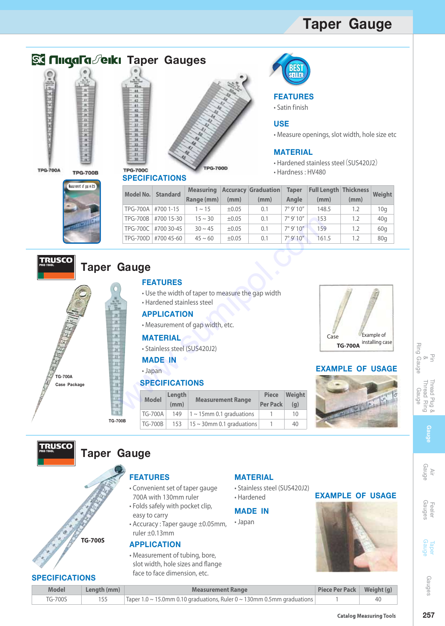## **Taper Gauge**





**Model No.** TPG-700A TPG-700B TPG-700C TPG-700D



**Range (mm)**

±0.05 ±0.05 ±0.05 ±0.05

**(mm)**

0.1 0.1 0.1 0.1

**(mm)**

**Accuracy Graduation**

**Standard Weight Measuring Full Length Thickness**

# **BEST**<br>SELLEI

#### **FEATURES**

• Satin finish

#### **USE**

• Measure openings, slot width, hole size etc

#### **MATERIAL**

• Hardened stainless steel(SUS420J2)

148.5 153 159 161.5

**(mm)**

• Hardness : HV480

7° 9' 10" 7° 9' 10" 7° 9' 10" 7° 9' 10"

**Taper Angle**

|  | Neasurement of gap width |  |  |
|--|--------------------------|--|--|
|  |                          |  |  |
|  |                          |  |  |
|  |                          |  |  |
|  |                          |  |  |

### **Taper Gauge**

#### **FEATURES**

#700 1-15 #700 15-30 #700 30-45 #700 45-60

**SPECIFICATIONS** 

- Use the width of taper to measure the gap width
- Hardened stainless steel

#### **APPLICATION**

#### **MATERIAL**

#### **MADE IN**

#### **SPECIFICATIONS**

|             | <b>TPG-700B</b> |                                                                                                                | #700 15-30     | $15 \sim 30$                                                                                   | ±0.05                                             | 0.1             | 7°9'10''           | 153 |
|-------------|-----------------|----------------------------------------------------------------------------------------------------------------|----------------|------------------------------------------------------------------------------------------------|---------------------------------------------------|-----------------|--------------------|-----|
|             |                 | TPG-700C #700 30-45                                                                                            |                | $30 \sim 45$                                                                                   | $\pm 0.05$                                        | 0.1             | 7°9'10''           | 159 |
|             |                 | TPG-700D #700 45-60                                                                                            |                | $45 \sim 60$                                                                                   | $\pm 0.05$                                        | 0.1             | $7^{\circ}$ 9' 10" | 161 |
|             | Gauge           | <b>FEATURES</b><br><b>APPLICATION</b><br><b>MATERIAL</b><br><b>MADE IN</b><br>• Japan<br><b>SPECIFICATIONS</b> |                | • Hardened stainless steel<br>· Measurement of gap width, etc.<br>• Stainless steel (SUS420J2) | • Use the width of taper to measure the gap width | <b>Piece</b>    | Weight             | EX. |
|             |                 | <b>Model</b>                                                                                                   | Length<br>(mm) |                                                                                                | <b>Measurement Range</b>                          | <b>Per Pack</b> | (g)                |     |
|             |                 | <b>TG-700A</b>                                                                                                 | 149            |                                                                                                | $1 \sim 15$ mm 0.1 graduations                    | 1               | 10                 |     |
| <b>'00B</b> |                 | <b>TG-700B</b>                                                                                                 | 153            |                                                                                                | $15 \sim 30$ mm 0.1 graduations                   | 1               | 40                 |     |



1.2 1.2 1.2 1.2

**(mm)**

10g 40g 60g 80g

#### • Japan **EXAMPLE OF USAGE**



**EXAMPLE OF USAGE**

#### Ring Gauge g Gauge Pin & Thread Plug & Thread Ring hread Ring hread Plug & Gauge

**Ring** 

## Air<br>Gauge

Gauge

**257Gauge** Air Gauge Gauges Feeler Gauge Taper Gauges

| . .                                                                                                                                                                                                                            |        |
|--------------------------------------------------------------------------------------------------------------------------------------------------------------------------------------------------------------------------------|--------|
|                                                                                                                                                                                                                                |        |
| $\mathcal{L}(\mathcal{A})$                                                                                                                                                                                                     | ۰<br>× |
| ting and the second second second second second second second second second second second second second second second second second second second second second second second second second second second second second second |        |

Gauges

| <b>Model</b> | Length (mm) | <b>Measurement Range</b>                                                       | Piece Per Pack   Weight (g) |  |  |  |
|--------------|-------------|--------------------------------------------------------------------------------|-----------------------------|--|--|--|
| TG-700S      |             | $\vert$ Taper 1.0 ~ 15.0mm 0.10 graduations, Ruler 0 ~ 130mm 0.5mm graduations |                             |  |  |  |

#### 257

**Taper Gauge**

**TRUSCO** 

**TG-700A Case Package**

**TRUSCO** 

## **FEATURES**

- Convenient set of taper gauge 700A with 130mm ruler
- Folds safely with pocket clip, easy to carry
- Accuracy : Taper gauge ±0.05mm, ruler ±0.13mm
- slot width, hole sizes and flange face to face dimension, etc.

#### **MATERIAL**

- Stainless steel (SUS420J2)
- Hardened

#### **MADE IN**

• Japan



**TG-700B**

**APPLICATION** • Measurement of tubing, bore, **TG-700S**

#### **SPECIFICATIONS**